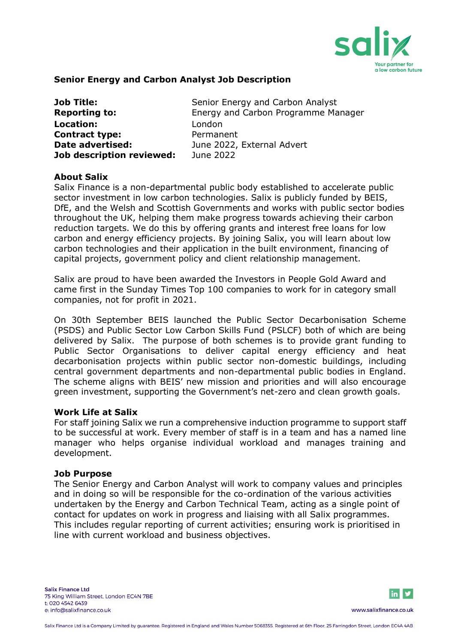

#### **Senior Energy and Carbon Analyst Job Description**

| Job Title:                | Senior Energy and Carbon Analyst    |
|---------------------------|-------------------------------------|
| <b>Reporting to:</b>      | Energy and Carbon Programme Manager |
| Location:                 | London                              |
| <b>Contract type:</b>     | Permanent                           |
| Date advertised:          | June 2022, External Advert          |
| Job description reviewed: | June 2022                           |

#### **About Salix**

Salix Finance is a non-departmental public body established to accelerate public sector investment in low carbon technologies. Salix is publicly funded by BEIS, DfE, and the Welsh and Scottish Governments and works with public sector bodies throughout the UK, helping them make progress towards achieving their carbon reduction targets. We do this by offering grants and interest free loans for low carbon and energy efficiency projects. By joining Salix, you will learn about low carbon technologies and their application in the built environment, financing of capital projects, government policy and client relationship management.

Salix are proud to have been awarded the Investors in People Gold Award and came first in the Sunday Times Top 100 companies to work for in category small companies, not for profit in 2021.

On 30th September BEIS launched the Public Sector Decarbonisation Scheme (PSDS) and Public Sector Low Carbon Skills Fund (PSLCF) both of which are being delivered by Salix. The purpose of both schemes is to provide grant funding to Public Sector Organisations to deliver capital energy efficiency and heat decarbonisation projects within public sector non-domestic buildings, including central government departments and non-departmental public bodies in England. The scheme aligns with BEIS' new mission and priorities and will also encourage green investment, supporting the Government's net-zero and clean growth goals.

#### **Work Life at Salix**

For staff joining Salix we run a comprehensive induction programme to support staff to be successful at work. Every member of staff is in a team and has a named line manager who helps organise individual workload and manages training and development.

#### **Job Purpose**

The Senior Energy and Carbon Analyst will work to company values and principles and in doing so will be responsible for the co-ordination of the various activities undertaken by the Energy and Carbon Technical Team, acting as a single point of contact for updates on work in progress and liaising with all Salix programmes. This includes regular reporting of current activities; ensuring work is prioritised in line with current workload and business objectives.

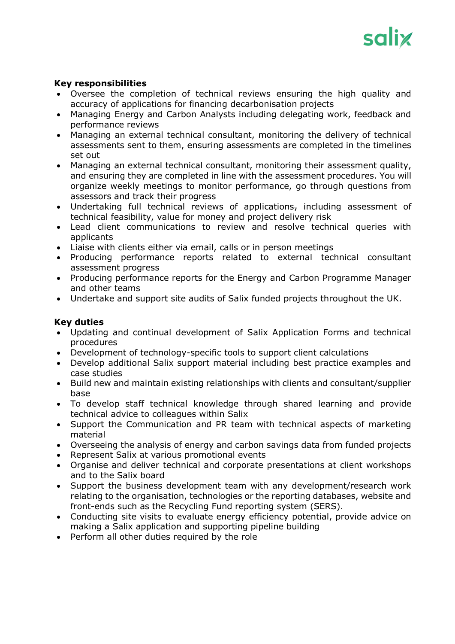

#### **Key responsibilities**

- Oversee the completion of technical reviews ensuring the high quality and accuracy of applications for financing decarbonisation projects
- Managing Energy and Carbon Analysts including delegating work, feedback and performance reviews
- Managing an external technical consultant, monitoring the delivery of technical assessments sent to them, ensuring assessments are completed in the timelines set out
- Managing an external technical consultant, monitoring their assessment quality, and ensuring they are completed in line with the assessment procedures. You will organize weekly meetings to monitor performance, go through questions from assessors and track their progress
- Undertaking full technical reviews of applications, including assessment of technical feasibility, value for money and project delivery risk
- Lead client communications to review and resolve technical queries with applicants
- Liaise with clients either via email, calls or in person meetings
- Producing performance reports related to external technical consultant assessment progress
- Producing performance reports for the Energy and Carbon Programme Manager and other teams
- Undertake and support site audits of Salix funded projects throughout the UK.

#### **Key duties**

- Updating and continual development of Salix Application Forms and technical procedures
- Development of technology-specific tools to support client calculations
- Develop additional Salix support material including best practice examples and case studies
- Build new and maintain existing relationships with clients and consultant/supplier base
- To develop staff technical knowledge through shared learning and provide technical advice to colleagues within Salix
- Support the Communication and PR team with technical aspects of marketing material
- Overseeing the analysis of energy and carbon savings data from funded projects
- Represent Salix at various promotional events
- Organise and deliver technical and corporate presentations at client workshops and to the Salix board
- Support the business development team with any development/research work relating to the organisation, technologies or the reporting databases, website and front-ends such as the Recycling Fund reporting system (SERS).
- Conducting site visits to evaluate energy efficiency potential, provide advice on making a Salix application and supporting pipeline building
- Perform all other duties required by the role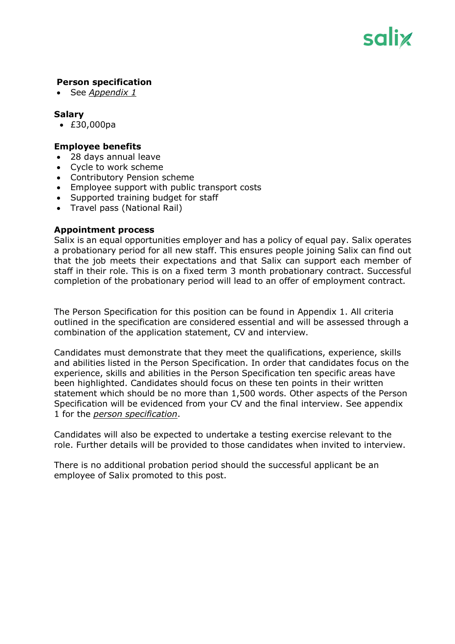

#### **Person specification**

• See *Appendix 1*

#### **Salary**

• £30,000pa

#### **Employee benefits**

- 28 days annual leave
- Cycle to work scheme
- Contributory Pension scheme
- Employee support with public transport costs
- Supported training budget for staff
- Travel pass (National Rail)

#### **Appointment process**

Salix is an equal opportunities employer and has a policy of equal pay. Salix operates a probationary period for all new staff. This ensures people joining Salix can find out that the job meets their expectations and that Salix can support each member of staff in their role. This is on a fixed term 3 month probationary contract. Successful completion of the probationary period will lead to an offer of employment contract.

The Person Specification for this position can be found in Appendix 1. All criteria outlined in the specification are considered essential and will be assessed through a combination of the application statement, CV and interview.

Candidates must demonstrate that they meet the qualifications, experience, skills and abilities listed in the Person Specification. In order that candidates focus on the experience, skills and abilities in the Person Specification ten specific areas have been highlighted. Candidates should focus on these ten points in their written statement which should be no more than 1,500 words. Other aspects of the Person Specification will be evidenced from your CV and the final interview. See appendix 1 for the *person specification*.

Candidates will also be expected to undertake a testing exercise relevant to the role. Further details will be provided to those candidates when invited to interview.

There is no additional probation period should the successful applicant be an employee of Salix promoted to this post.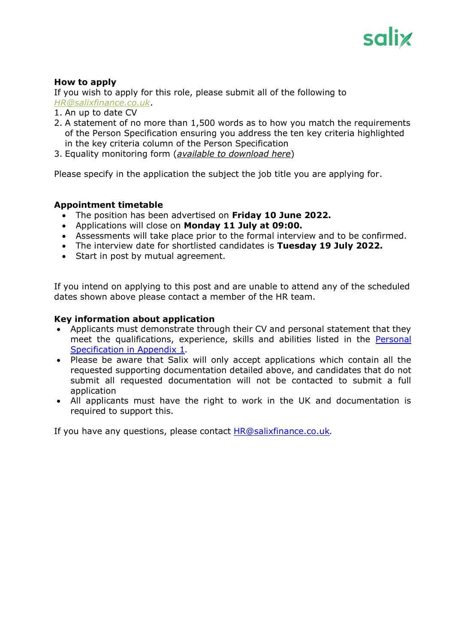

### **How to apply**

If you wish to apply for this role, please submit all of the following to *[HR@salixfinance.co.uk](mailto:HR@salixfinance.co.uk)*.

- 1. An up to date CV
- 2. A statement of no more than 1,500 words as to how you match the requirements of the Person Specification ensuring you address the ten key criteria highlighted in the key criteria column of the Person Specification
- 3. Equality monitoring form (*[available to download here](http://salixfinance.co.uk/sites/default/files/equality_monitoring_form_equality_act_compliant_0_2.doc)*)

Please specify in the application the subject the job title you are applying for.

#### **Appointment timetable**

- The position has been advertised on **Friday 10 June 2022.**
- Applications will close on **Monday 11 July at 09:00.**
- Assessments will take place prior to the formal interview and to be confirmed.
- The interview date for shortlisted candidates is **Tuesday 19 July 2022.**
- Start in post by mutual agreement.

If you intend on applying to this post and are unable to attend any of the scheduled dates shown above please contact a member of the HR team.

#### **Key information about application**

- Applicants must demonstrate through their CV and personal statement that they meet the qualifications, experience, skills and abilities listed in the Personal Specification in Appendix 1*.*
- Please be aware that Salix will only accept applications which contain all the requested supporting documentation detailed above, and candidates that do not submit all requested documentation will not be contacted to submit a full application
- All applicants must have the right to work in the UK and documentation is required to support this.

If you have any questions, please contact [HR@salixfinance.co.uk](mailto:HR@salixfinance.co.uk)*.*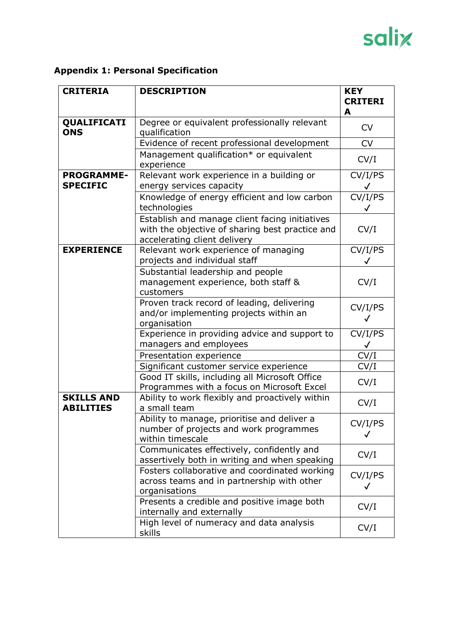# salix

# **Appendix 1: Personal Specification**

| <b>CRITERIA</b>                       | <b>DESCRIPTION</b>                                                                                                                | <b>KEY</b>                   |
|---------------------------------------|-----------------------------------------------------------------------------------------------------------------------------------|------------------------------|
|                                       |                                                                                                                                   | <b>CRITERI</b><br>A          |
| QUALIFICATI<br><b>ONS</b>             | Degree or equivalent professionally relevant<br>qualification                                                                     | <b>CV</b>                    |
|                                       | Evidence of recent professional development                                                                                       | <b>CV</b>                    |
|                                       | Management qualification* or equivalent<br>experience                                                                             | CV/I                         |
| <b>PROGRAMME-</b><br><b>SPECIFIC</b>  | Relevant work experience in a building or<br>energy services capacity                                                             | CV/I/PS<br>$\checkmark$      |
|                                       | Knowledge of energy efficient and low carbon<br>technologies                                                                      | $\overline{\text{CV}}$ /I/PS |
|                                       | Establish and manage client facing initiatives<br>with the objective of sharing best practice and<br>accelerating client delivery | CV/I                         |
| <b>EXPERIENCE</b>                     | Relevant work experience of managing<br>projects and individual staff                                                             | CV/I/PS                      |
|                                       | Substantial leadership and people<br>management experience, both staff &<br>customers                                             | CV/I                         |
|                                       | Proven track record of leading, delivering<br>and/or implementing projects within an<br>organisation                              | CV/I/PS<br>✓                 |
|                                       | Experience in providing advice and support to<br>managers and employees                                                           | CV/I/PS<br>$\checkmark$      |
|                                       | Presentation experience                                                                                                           | CV/I                         |
|                                       | Significant customer service experience                                                                                           | CV/I                         |
|                                       | Good IT skills, including all Microsoft Office<br>Programmes with a focus on Microsoft Excel                                      | CV/I                         |
| <b>SKILLS AND</b><br><b>ABILITIES</b> | Ability to work flexibly and proactively within<br>a small team                                                                   | CV/I                         |
|                                       | Ability to manage, prioritise and deliver a<br>number of projects and work programmes<br>within timescale                         | CV/I/PS<br>$\checkmark$      |
|                                       | Communicates effectively, confidently and<br>assertively both in writing and when speaking                                        | CV/I                         |
|                                       | Fosters collaborative and coordinated working<br>across teams and in partnership with other<br>organisations                      | CV/I/PS<br>✓                 |
|                                       | Presents a credible and positive image both<br>internally and externally                                                          | CV/I                         |
|                                       | High level of numeracy and data analysis<br>skills                                                                                | CV/I                         |